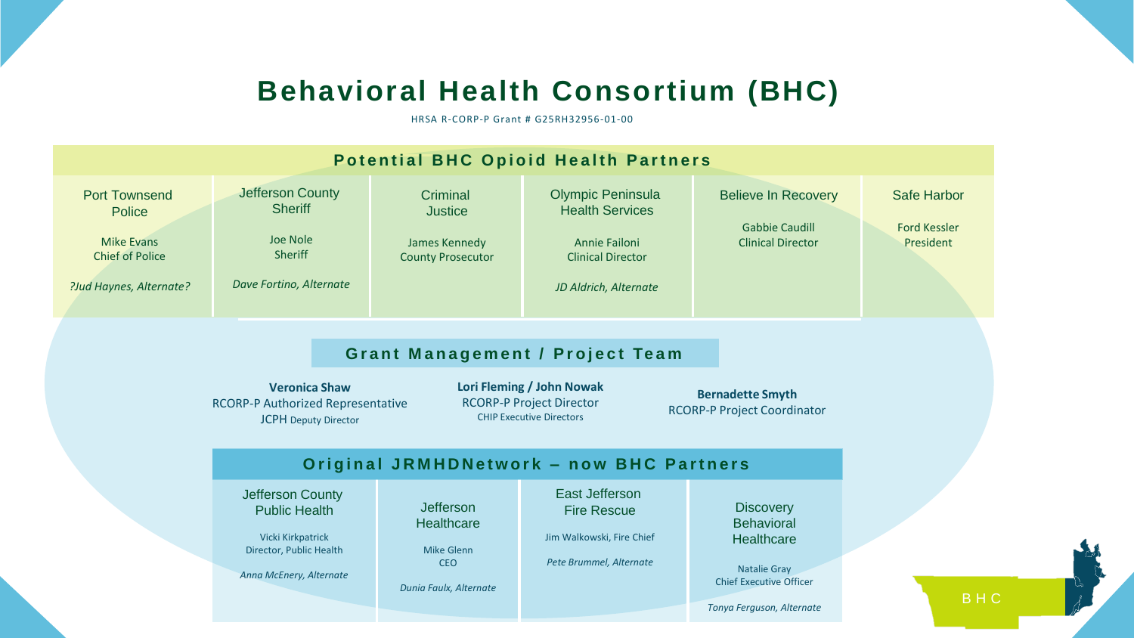## **Behavioral Health Consortium (BHC)**

HRSA R-CORP-P Grant # G25RH32956-01-00